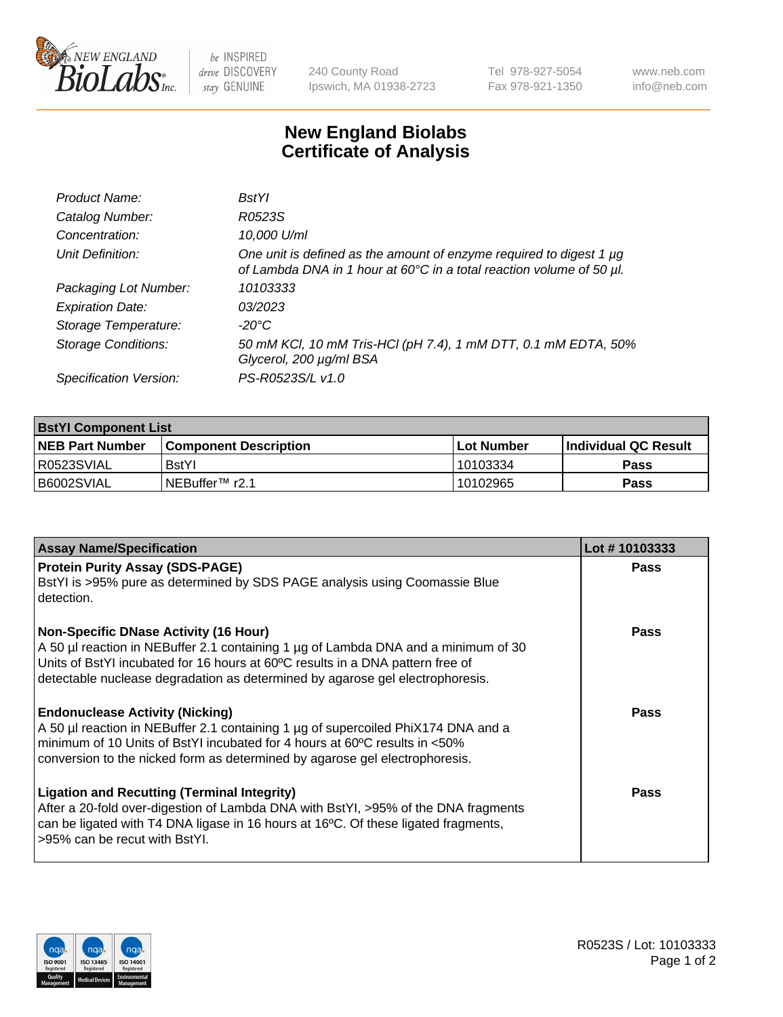

 $be$  INSPIRED drive DISCOVERY stay GENUINE

240 County Road Ipswich, MA 01938-2723 Tel 978-927-5054 Fax 978-921-1350 www.neb.com info@neb.com

## **New England Biolabs Certificate of Analysis**

| Product Name:              | <b>BstYl</b>                                                                                                                                     |
|----------------------------|--------------------------------------------------------------------------------------------------------------------------------------------------|
| Catalog Number:            | R0523S                                                                                                                                           |
| Concentration:             | 10,000 U/ml                                                                                                                                      |
| Unit Definition:           | One unit is defined as the amount of enzyme required to digest 1 $\mu$ g<br>of Lambda DNA in 1 hour at 60°C in a total reaction volume of 50 µl. |
| Packaging Lot Number:      | 10103333                                                                                                                                         |
| <b>Expiration Date:</b>    | 03/2023                                                                                                                                          |
| Storage Temperature:       | -20°C                                                                                                                                            |
| <b>Storage Conditions:</b> | 50 mM KCl, 10 mM Tris-HCl (pH 7.4), 1 mM DTT, 0.1 mM EDTA, 50%<br>Glycerol, 200 µg/ml BSA                                                        |
| Specification Version:     | PS-R0523S/L v1.0                                                                                                                                 |

| <b>BstYI Component List</b> |                              |              |                       |  |  |
|-----------------------------|------------------------------|--------------|-----------------------|--|--|
| <b>NEB Part Number</b>      | <b>Component Description</b> | l Lot Number | ∣Individual QC Result |  |  |
| R0523SVIAL                  | <b>BstYI</b>                 | 10103334     | Pass                  |  |  |
| B6002SVIAL                  | i NEBuffer™ r2.1             | 10102965     | Pass                  |  |  |

| <b>Assay Name/Specification</b>                                                                                                                                                                                                                                                                       | Lot #10103333 |
|-------------------------------------------------------------------------------------------------------------------------------------------------------------------------------------------------------------------------------------------------------------------------------------------------------|---------------|
| <b>Protein Purity Assay (SDS-PAGE)</b><br>BstYI is >95% pure as determined by SDS PAGE analysis using Coomassie Blue<br>detection.                                                                                                                                                                    | Pass          |
| <b>Non-Specific DNase Activity (16 Hour)</b><br>A 50 µl reaction in NEBuffer 2.1 containing 1 µg of Lambda DNA and a minimum of 30<br>Units of BstYI incubated for 16 hours at 60°C results in a DNA pattern free of<br>detectable nuclease degradation as determined by agarose gel electrophoresis. | Pass          |
| <b>Endonuclease Activity (Nicking)</b><br>A 50 µl reaction in NEBuffer 2.1 containing 1 µg of supercoiled PhiX174 DNA and a<br>minimum of 10 Units of BstYI incubated for 4 hours at 60°C results in <50%<br>conversion to the nicked form as determined by agarose gel electrophoresis.              | Pass          |
| <b>Ligation and Recutting (Terminal Integrity)</b><br>After a 20-fold over-digestion of Lambda DNA with BstYI, >95% of the DNA fragments<br>can be ligated with T4 DNA ligase in 16 hours at 16°C. Of these ligated fragments,<br>>95% can be recut with BstYI.                                       | <b>Pass</b>   |